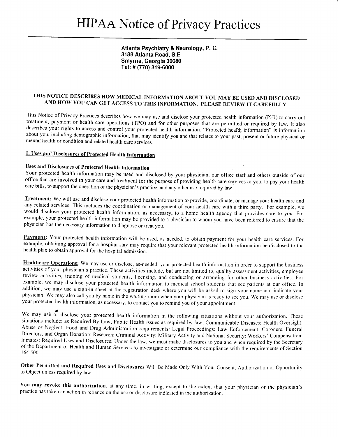Atlanta Psychiatry & Neurology, P. C. 31BB Atlanta Road, S.E. Smyrna, Georgia 30080 Tel: # (770) 319-6000

### THIS NOTICE DESCRIBES HOW MEDICAL INFORMATION ABOUT YOU MAY BE USED AND DISCLOSED AND HOW YOU CAN GET ACCESS TO THIS INFORMATION. PLEASE REVIEW IT CAREFULLY.

This Notice of Privacy Practices describes how we may use and disclose your protected health information (pHI) to carry our treatment, payment or health care operations (TPO) and for other purposes that are permitted or required by law. It also describes your rights to access and control your protected health information. "Protected health information" is information about you, including demographic information, that may identify you and that relates to your past, present or future physical or mental health or condition and related health care services.

# l. Uses and Disclosures of protected Health Information

# Uses and Disclosures of Protected Heatth Information

Your protected health information may be used and disclosed by your physician, our office staff and others outside of our office that are involved in your care and treatment for the purpose of providing health care services to you, to pay your health care bills, to support the operation of the physician's practice, and any other use required by law.

Treatment: We will use and disclose your protected health information to provide, coordinate, or manage your health care and any related services. This includes the coordination or management of your health care with a third party. For example, we would disclose your protected health information, as necessary, to a home health agency that provides care to you. For example, your protected health information may be provided to a physician to whom you have been referred to ensure that the physician has the necessary information to diagnose or rrear you.

Payment: Your protected health information will be used, as needed, to obtain payment for your health care services. For example, obtaining approval for a hospital stay may require that your relevant protected health infbrmation be disclosed to the health plan to obtain approval for the hospital admission.

Healthcare Operations: We may use or disclose, as-needed, your protected health information in order to support the business activities of your physician's practice. These activities include, but are not limited to, quality assessment activities, employee review activities, training of medical students, licensing, and conducting or arranging ior other business activities. For example, we may disclose your protected health information to medical school students that see patients at our office. In addition, we may use a sign-in sheet at the registration desk where you will be asked to sign your name and indicate your physician. We may also call you by name in the waiting room when your physician is ready to see you. We may use or disclose your protected health information, as necessary, to contact you to remind you of your appointment.

We may use or disclose your protected health information in the following situations without your authorization. These situations include: as Required By Law, Public Health issues as required by law, Communicable Diseases: Health oversight: Abuse or Neglect: Food and Drug Administration requirements: Legal Pioceedings: Law Enforcement: Coroners, Funeral Directors, and Organ Donation: Research: Criminal Activity: Military Activity and National Security: Workers' Compensation: Inmates: Required Uses and Disclosures: Under the law, we must make disclosures to you and u'hen required by the Secretary of the Department of Health and Human Services to investigate or determine our compliance with the requirements of Section 164.500.

Other Permitted and Required Uses and Disclosures Will Be Made Only With Your Consent. Authorization or Opportunity to Object unless required by law.

You may revoke this authorization, at any time, in writing, except to the extent that your physician or the physician's practice has takcn an action in reliance on the use or disclosure indicated in the authorization.